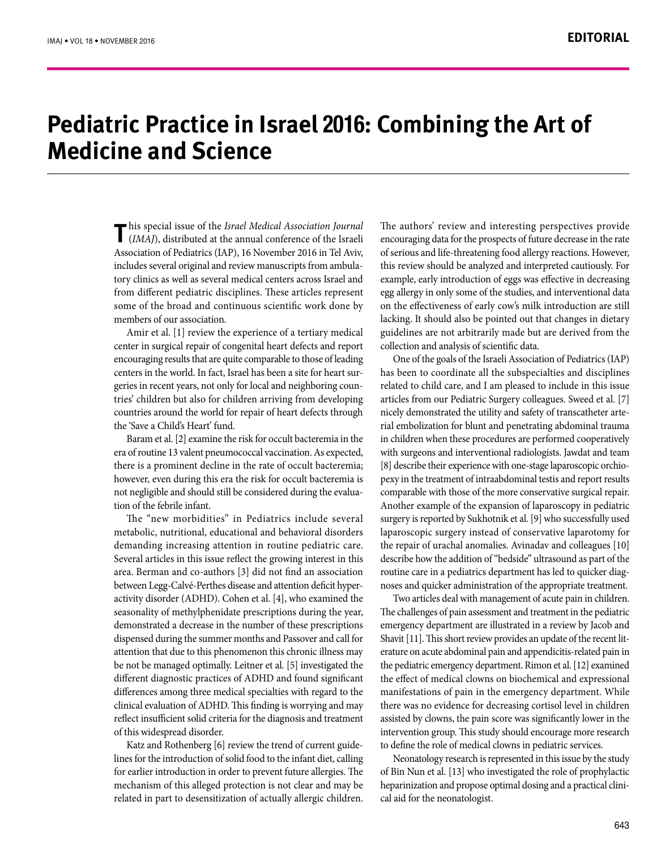## **Pediatric Practice in Israel 2016: Combining the Art of Medicine and Science**

**T** his special issue of the *Israel Medical Association Journal* (*IMAJ*), distributed at the annual conference of the Israeli Association of Pediatrics (IAP), 16 November 2016 in Tel Aviv, includes several original and review manuscripts from ambulatory clinics as well as several medical centers across Israel and from different pediatric disciplines. These articles represent some of the broad and continuous scientific work done by members of our association.

Amir et al. [1] review the experience of a tertiary medical center in surgical repair of congenital heart defects and report encouraging results that are quite comparable to those of leading centers in the world. In fact, Israel has been a site for heart surgeries in recent years, not only for local and neighboring countries' children but also for children arriving from developing countries around the world for repair of heart defects through the 'Save a Child's Heart' fund.

Baram et al. [2] examine the risk for occult bacteremia in the era of routine 13 valent pneumococcal vaccination. As expected, there is a prominent decline in the rate of occult bacteremia; however, even during this era the risk for occult bacteremia is not negligible and should still be considered during the evaluation of the febrile infant.

The "new morbidities" in Pediatrics include several metabolic, nutritional, educational and behavioral disorders demanding increasing attention in routine pediatric care. Several articles in this issue reflect the growing interest in this area. Berman and co-authors [3] did not find an association between Legg-Calvé-Perthes disease and attention deficit hyperactivity disorder (ADHD). Cohen et al. [4], who examined the seasonality of methylphenidate prescriptions during the year, demonstrated a decrease in the number of these prescriptions dispensed during the summer months and Passover and call for attention that due to this phenomenon this chronic illness may be not be managed optimally. Leitner et al. [5] investigated the different diagnostic practices of ADHD and found significant differences among three medical specialties with regard to the clinical evaluation of ADHD. This finding is worrying and may reflect insufficient solid criteria for the diagnosis and treatment of this widespread disorder.

Katz and Rothenberg [6] review the trend of current guidelines for the introduction of solid food to the infant diet, calling for earlier introduction in order to prevent future allergies. The mechanism of this alleged protection is not clear and may be related in part to desensitization of actually allergic children.

The authors' review and interesting perspectives provide encouraging data for the prospects of future decrease in the rate of serious and life-threatening food allergy reactions. However, this review should be analyzed and interpreted cautiously. For example, early introduction of eggs was effective in decreasing egg allergy in only some of the studies, and interventional data on the effectiveness of early cow's milk introduction are still lacking. It should also be pointed out that changes in dietary guidelines are not arbitrarily made but are derived from the collection and analysis of scientific data.

One of the goals of the Israeli Association of Pediatrics (IAP) has been to coordinate all the subspecialties and disciplines related to child care, and I am pleased to include in this issue articles from our Pediatric Surgery colleagues. Sweed et al. [7] nicely demonstrated the utility and safety of transcatheter arterial embolization for blunt and penetrating abdominal trauma in children when these procedures are performed cooperatively with surgeons and interventional radiologists. Jawdat and team [8] describe their experience with one-stage laparoscopic orchiopexy in the treatment of intraabdominal testis and report results comparable with those of the more conservative surgical repair. Another example of the expansion of laparoscopy in pediatric surgery is reported by Sukhotnik et al. [9] who successfully used laparoscopic surgery instead of conservative laparotomy for the repair of urachal anomalies. Avinadav and colleagues [10] describe how the addition of "bedside" ultrasound as part of the routine care in a pediatrics department has led to quicker diagnoses and quicker administration of the appropriate treatment.

Two articles deal with management of acute pain in children. The challenges of pain assessment and treatment in the pediatric emergency department are illustrated in a review by Jacob and Shavit [11]. This short review provides an update of the recent literature on acute abdominal pain and appendicitis-related pain in the pediatric emergency department. Rimon et al. [12] examined the effect of medical clowns on biochemical and expressional manifestations of pain in the emergency department. While there was no evidence for decreasing cortisol level in children assisted by clowns, the pain score was significantly lower in the intervention group. This study should encourage more research to define the role of medical clowns in pediatric services.

Neonatology research is represented in this issue by the study of Bin Nun et al. [13] who investigated the role of prophylactic heparinization and propose optimal dosing and a practical clinical aid for the neonatologist.